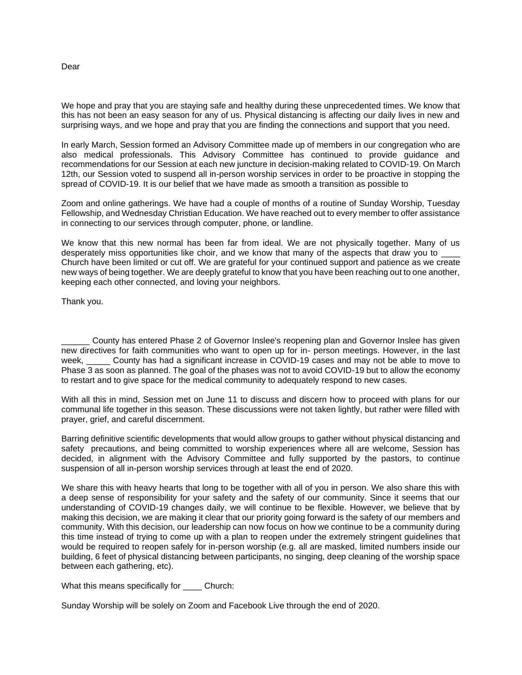## Dear

We hope and pray that you are staying safe and healthy during these unprecedented times. We know that this has not been an easy season for any of us. Physical distancing is affecting our daily lives in new and surprising ways, and we hope and pray that you are finding the connections and support that you need.

In early March, Session formed an Advisory Committee made up of members in our congregation who are also medical professionals. This Advisory Committee has continued to provide guidance and recommendations for our Session at each new juncture in decision-making related to COVID-19. On March 12th, our Session voted to suspend all in-person worship services in order to be proactive in stopping the spread of COVID-19. It is our belief that we have made as smooth a transition as possible to

Zoom and online gatherings. We have had a couple of months of a routine of Sunday Worship, Tuesday Fellowship, and Wednesday Christian Education. We have reached out to every member to offer assistance in connecting to our services through computer, phone, or landline.

We know that this new normal has been far from ideal. We are not physically together. Many of us desperately miss opportunities like choir, and we know that many of the aspects that draw you to \_ Church have been limited or cut off. We are grateful for your continued support and patience as we create new ways of being together. We are deeply grateful to know that you have been reaching out to one another, keeping each other connected, and loving your neighbors.

Thank you.

County has entered Phase 2 of Governor Inslee's reopening plan and Governor Inslee has given new directives for faith communities who want to open up for in- person meetings. However, in the last week, County has had a significant increase in COVID-19 cases and may not be able to move to Phase 3 as soon as planned. The goal of the phases was not to avoid COVID-19 but to allow the economy to restart and to give space for the medical community to adequately respond to new cases.

With all this in mind, Session met on June 11 to discuss and discern how to proceed with plans for our communal life together in this season. These discussions were not taken lightly, but rather were filled with prayer, grief, and careful discernment.

Barring definitive scientific developments that would allow groups to gather without physical distancing and safety precautions, and being committed to worship experiences where all are welcome, Session has decided, in alignment with the Advisory Committee and fully supported by the pastors, to continue suspension of all in-person worship services through at least the end of 2020.

We share this with heavy hearts that long to be together with all of you in person. We also share this with a deep sense of responsibility for your safety and the safety of our community. Since it seems that our understanding of COVID-19 changes daily, we will continue to be flexible. However, we believe that by making this decision, we are making it clear that our priority going forward is the safety of our members and community. With this decision, our leadership can now focus on how we continue to be a community during this time instead of trying to come up with a plan to reopen under the extremely stringent guidelines that would be required to reopen safely for in-person worship (e.g. all are masked, limited numbers inside our building, 6 feet of physical distancing between participants, no singing, deep cleaning of the worship space between each gathering, etc).

What this means specifically for \_\_\_\_\_ Church:

Sunday Worship will be solely on Zoom and Facebook Live through the end of 2020.